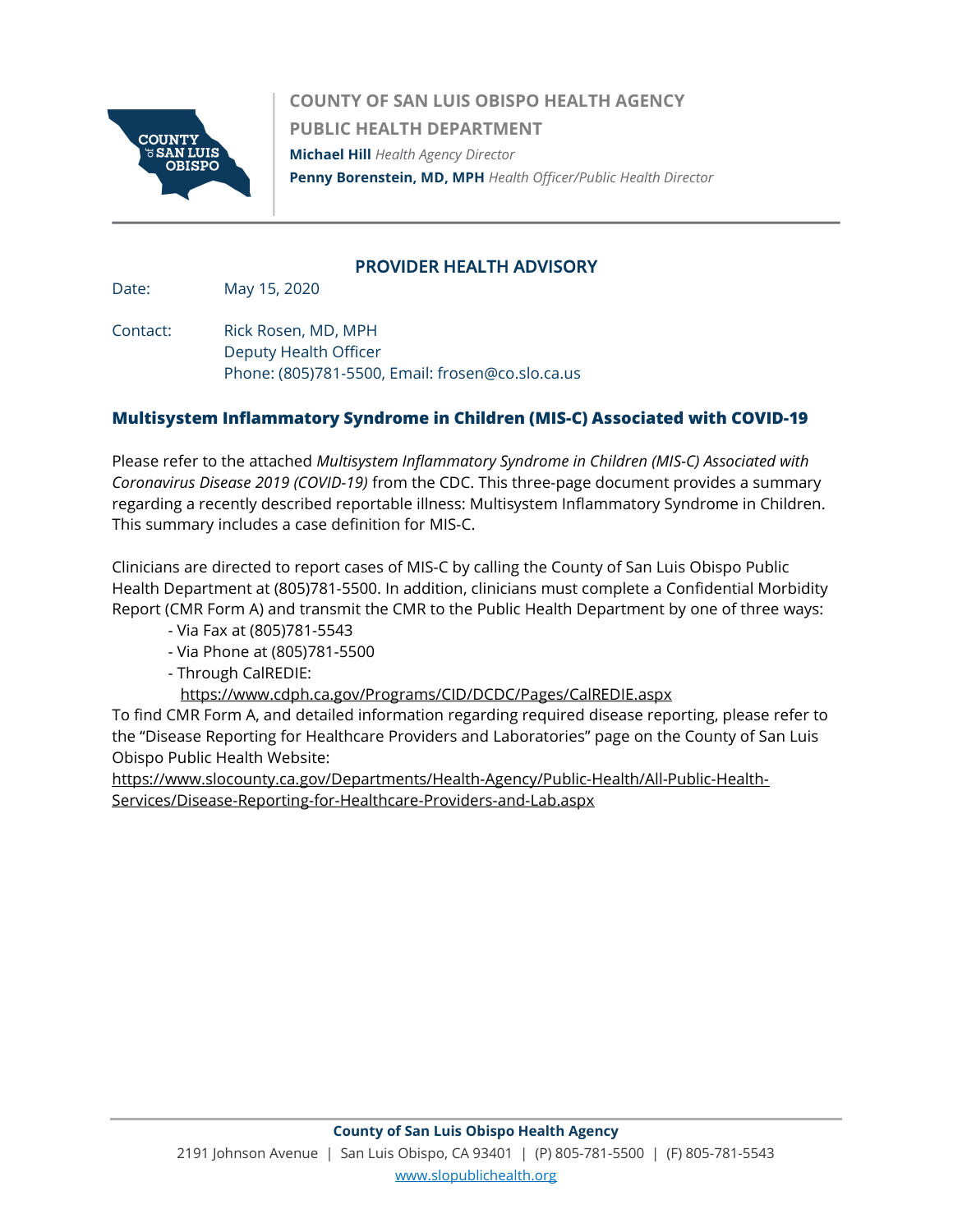

COUNTY OF SAN LUIS OBISPO HEALTH AGENCY PUBLIC HEALTH DEPARTMENT Michael Hill Health Agency Director Penny Borenstein, MD, MPH Health Officer/Public Health Director

## PROVIDER HEALTH ADVISORY

Date: May 15, 2020

Contact: Rick Rosen, MD, MPH Deputy Health Officer Phone: (805)781-5500, Email: frosen@co.slo.ca.us

## Multisystem Inflammatory Syndrome in Children (MIS-C) Associated with COVID-19

Please refer to the attached Multisystem Inflammatory Syndrome in Children (MIS-C) Associated with Coronavirus Disease 2019 (COVID-19) from the CDC. This three-page document provides a summary regarding a recently described reportable illness: Multisystem Inflammatory Syndrome in Children. This summary includes a case definition for MIS-C.

Clinicians are directed to report cases of MIS-C by calling the County of San Luis Obispo Public Health Department at (805)781-5500. In addition, clinicians must complete a Confidential Morbidity Report (CMR Form A) and transmit the CMR to the Public Health Department by one of three ways:

- Via Fax at (805)781-5543
- Via Phone at (805)781-5500
- Through CalREDIE:
	- https://www.cdph.ca.gov/Programs/CID/DCDC/Pages/CalREDIE.aspx

To find CMR Form A, and detailed information regarding required disease reporting, please refer to the "Disease Reporting for Healthcare Providers and Laboratories" page on the County of San Luis Obispo Public Health Website:

https://www.slocounty.ca.gov/Departments/Health-Agency/Public-Health/All-Public-Health-Services/Disease-Reporting-for-Healthcare-Providers-and-Lab.aspx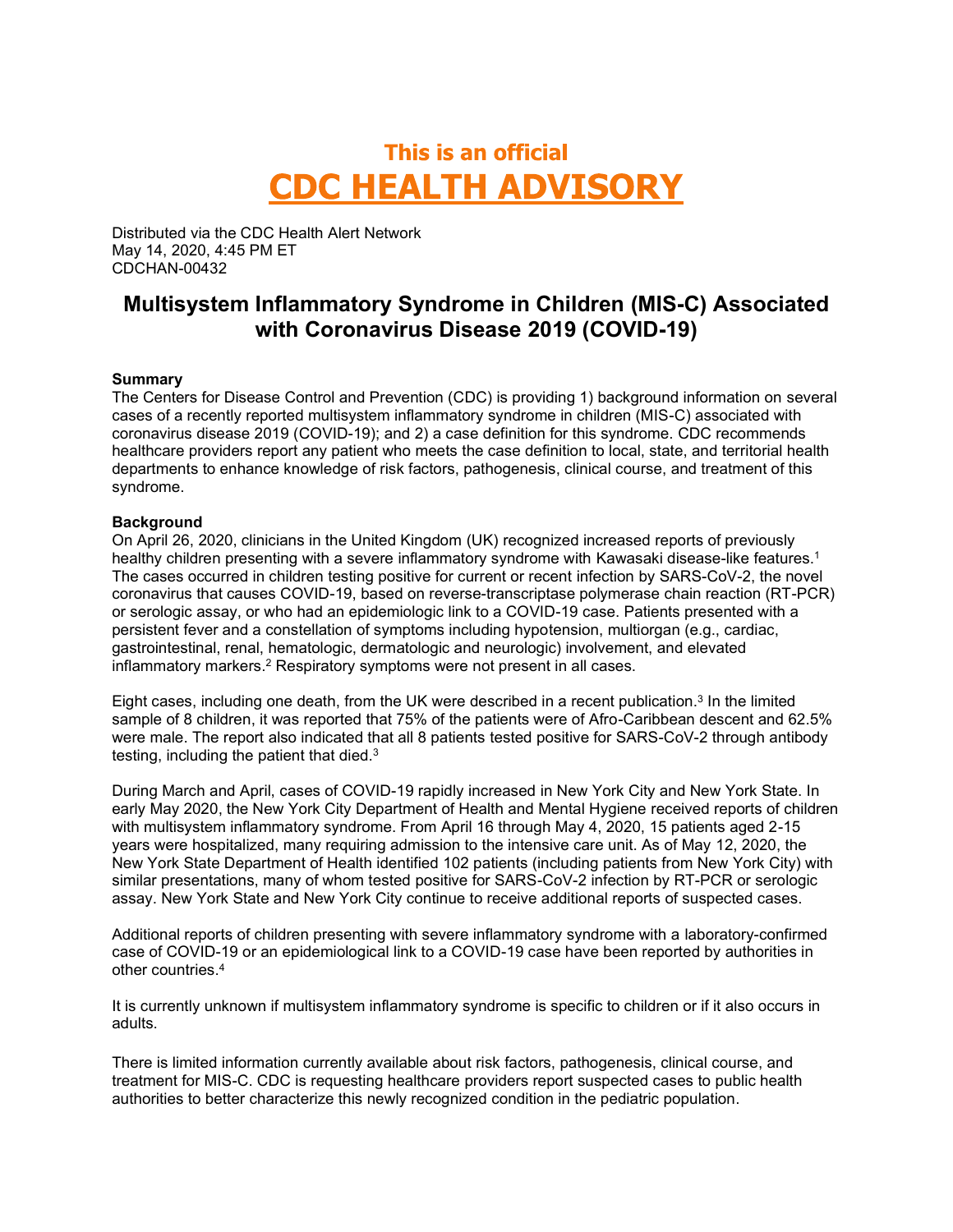# This is an official **CDC HEALTH ADVISORY**

Distributed via the CDC Health Alert Network May 14, 2020, 4:45 PM ET CDCHAN-00432

# Multisystem Inflammatory Syndrome in Children (MIS-C) Associated with Coronavirus Disease 2019 (COVID-19)

#### **Summary**

The Centers for Disease Control and Prevention (CDC) is providing 1) background information on several cases of a recently reported multisystem inflammatory syndrome in children (MIS-C) associated with coronavirus disease 2019 (COVID-19); and 2) a case definition for this syndrome. CDC recommends healthcare providers report any patient who meets the case definition to local, state, and territorial health departments to enhance knowledge of risk factors, pathogenesis, clinical course, and treatment of this syndrome.

#### **Background**

On April 26, 2020, clinicians in the United Kingdom (UK) recognized increased reports of previously healthy children presenting with a severe inflammatory syndrome with Kawasaki disease-like features.<sup>1</sup> The cases occurred in children testing positive for current or recent infection by SARS-CoV-2, the novel coronavirus that causes COVID-19, based on reverse-transcriptase polymerase chain reaction (RT-PCR) or serologic assay, or who had an epidemiologic link to a COVID-19 case. Patients presented with a persistent fever and a constellation of symptoms including hypotension, multiorgan (e.g., cardiac, gastrointestinal, renal, hematologic, dermatologic and neurologic) involvement, and elevated inflammatory markers.<sup>2</sup> Respiratory symptoms were not present in all cases.

Eight cases, including one death, from the UK were described in a recent publication. $^3$  In the limited sample of 8 children, it was reported that 75% of the patients were of Afro-Caribbean descent and 62.5% were male. The report also indicated that all 8 patients tested positive for SARS-CoV-2 through antibody testing, including the patient that died.<sup>3</sup>

 During March and April, cases of COVID-19 rapidly increased in New York City and New York State. In early May 2020, the New York City Department of Health and Mental Hygiene received reports of children with multisystem inflammatory syndrome. From April 16 through May 4, 2020, 15 patients aged 2-15 years were hospitalized, many requiring admission to the intensive care unit. As of May 12, 2020, the New York State Department of Health identified 102 patients (including patients from New York City) with similar presentations, many of whom tested positive for SARS-CoV-2 infection by RT-PCR or serologic assay. New York State and New York City continue to receive additional reports of suspected cases.

Additional reports of children presenting with severe inflammatory syndrome with a laboratory-confirmed case of COVID-19 or an epidemiological link to a COVID-19 case have been reported by authorities in other countries.4

It is currently unknown if multisystem inflammatory syndrome is specific to children or if it also occurs in adults.

There is limited information currently available about risk factors, pathogenesis, clinical course, and treatment for MIS-C. CDC is requesting healthcare providers report suspected cases to public health authorities to better characterize this newly recognized condition in the pediatric population.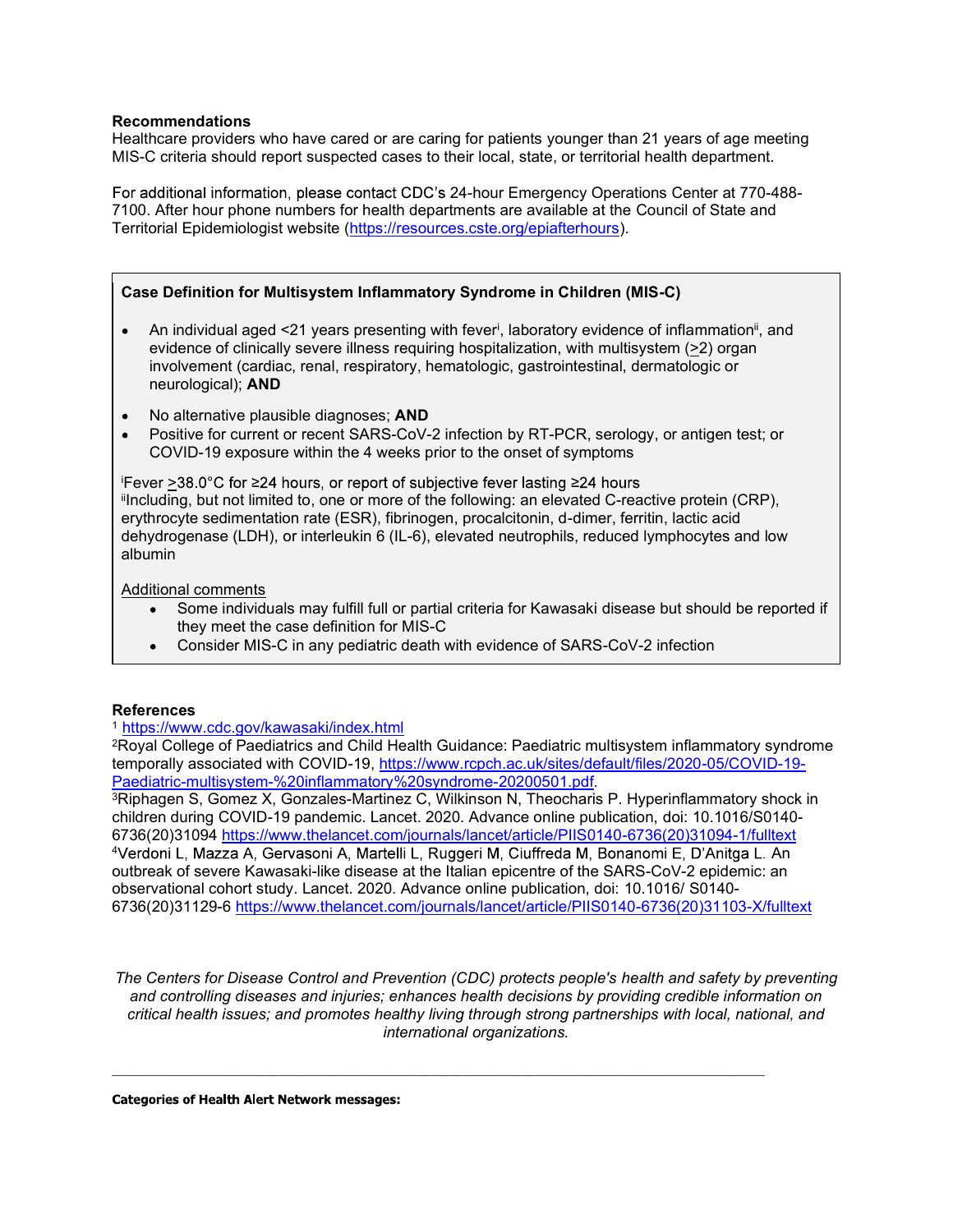#### Recommendations

Healthcare providers who have cared or are caring for patients younger than 21 years of age meeting MIS-C criteria should report suspected cases to their local, state, or territorial health department.

For additional information, please contact CDC's 24-hour Emergency Operations Center at 770-488-7100. After hour phone numbers for health departments are available at the Council of State and Territorial Epidemiologist website (https://resources.cste.org/epiafterhours).

#### Case Definition for Multisystem Inflammatory Syndrome in Children (MIS-C)

- An individual aged <21 years presenting with fever<sup>i</sup>, laboratory evidence of inflammation<sup>ii</sup>, and evidence of clinically severe illness requiring hospitalization, with multisystem (>2) organ involvement (cardiac, renal, respiratory, hematologic, gastrointestinal, dermatologic or neurological); AND
- No alternative plausible diagnoses: **AND**
- Positive for current or recent SARS-CoV-2 infection by RT-PCR, serology, or antigen test; or COVID-19 exposure within the 4 weeks prior to the onset of symptoms

 $i$ Fever >38.0°C for ≥24 hours, or report of subjective fever lasting ≥24 hours iiIncluding, but not limited to, one or more of the following: an elevated C-reactive protein (CRP), erythrocyte sedimentation rate (ESR), fibrinogen, procalcitonin, d-dimer, ferritin, lactic acid dehydrogenase (LDH), or interleukin 6 (IL-6), elevated neutrophils, reduced lymphocytes and low albumin

Additional comments

- Some individuals may fulfill full or partial criteria for Kawasaki disease but should be reported if they meet the case definition for MIS-C
- Consider MIS-C in any pediatric death with evidence of SARS-CoV-2 infection

#### **References**

#### 1 https://www.cdc.gov/kawasaki/index.html

2Royal College of Paediatrics and Child Health Guidance: Paediatric multisystem inflammatory syndrome temporally associated with COVID-19, https://www.rcpch.ac.uk/sites/default/files/2020-05/COVID-19-

Paediatric-multisystem-%20inflammatory%20syndrome-20200501.pdf.<br><sup>3</sup>Riphagen S, Gomez X, Gonzales-Martinez C, Wilkinson N, Theocharis P. Hyperinflammatory shock in children during COVID-19 pandemic. Lancet. 2020. Advance online publication, doi: 10.1016/S0140- 6736(20)31094 https://www.thelancet.com/journals/lancet/article/PIIS0140-6736(20)31094-1/fulltext <sup>4</sup>Verdoni L, Mazza A, Gervasoni A, Martelli L, Ruggeri M, Ciuffreda M, Bonanomi E, D'Anitga L. An outbreak of severe Kawasaki-like disease at the Italian epicentre of the SARS-CoV-2 epidemic: an observational cohort study. Lancet. 2020. Advance online publication, doi: 10.1016/ S0140- 6736(20)31129-6 https://www.thelancet.com/journals/lancet/article/PIIS0140-6736(20)31103-X/fulltext

The Centers for Disease Control and Prevention (CDC) protects people's health and safety by preventing and controlling diseases and injuries; enhances health decisions by providing credible information on critical health issues; and promotes healthy living through strong partnerships with local, national, and international organizations.